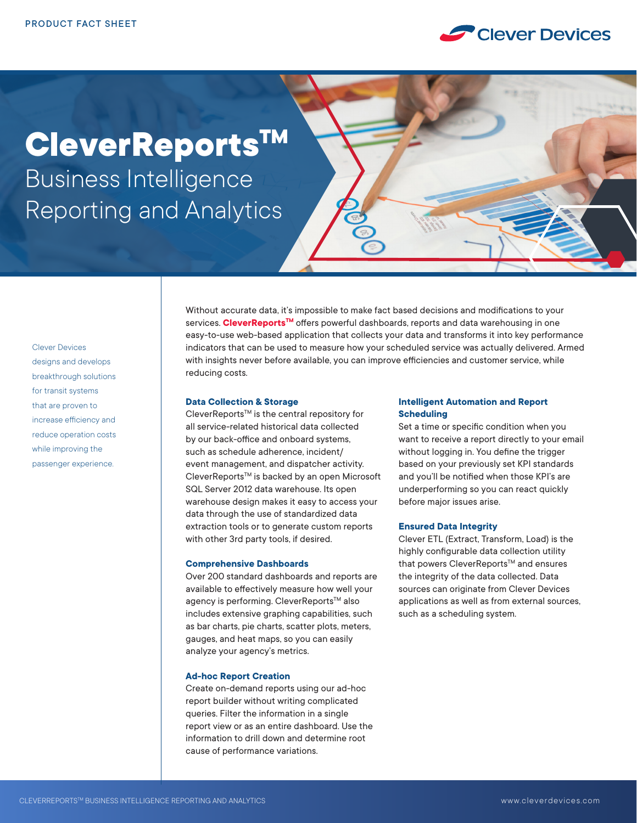

# **CleverReportsTM** Business Intelligence Reporting and Analytics



Clever Devices designs and develops breakthrough solutions for transit systems that are proven to increase efficiency and reduce operation costs while improving the passenger experience.

Without accurate data, it's impossible to make fact based decisions and modifications to your services. **CleverReports<sup>TM</sup>** offers powerful dashboards, reports and data warehousing in one easy-to-use web-based application that collects your data and transforms it into key performance indicators that can be used to measure how your scheduled service was actually delivered. Armed with insights never before available, you can improve efficiencies and customer service, while reducing costs.

# **Data Collection & Storage**

CleverReports<sup>™</sup> is the central repository for all service-related historical data collected by our back-office and onboard systems, such as schedule adherence, incident/ event management, and dispatcher activity. CleverReports™ is backed by an open Microsoft SQL Server 2012 data warehouse. Its open warehouse design makes it easy to access your data through the use of standardized data extraction tools or to generate custom reports with other 3rd party tools, if desired.

### **Comprehensive Dashboards**

Over 200 standard dashboards and reports are available to effectively measure how well your agency is performing. CleverReports™ also includes extensive graphing capabilities, such as bar charts, pie charts, scatter plots, meters, gauges, and heat maps, so you can easily analyze your agency's metrics.

#### **Ad-hoc Report Creation**

Create on-demand reports using our ad-hoc report builder without writing complicated queries. Filter the information in a single report view or as an entire dashboard. Use the information to drill down and determine root cause of performance variations.

# **Intelligent Automation and Report Scheduling**

Set a time or specific condition when you want to receive a report directly to your email without logging in. You define the trigger based on your previously set KPI standards and you'll be notified when those KPI's are underperforming so you can react quickly before major issues arise.

# **Ensured Data Integrity**

Clever ETL (Extract, Transform, Load) is the highly configurable data collection utility that powers CleverReports™ and ensures the integrity of the data collected. Data sources can originate from Clever Devices applications as well as from external sources, such as a scheduling system.